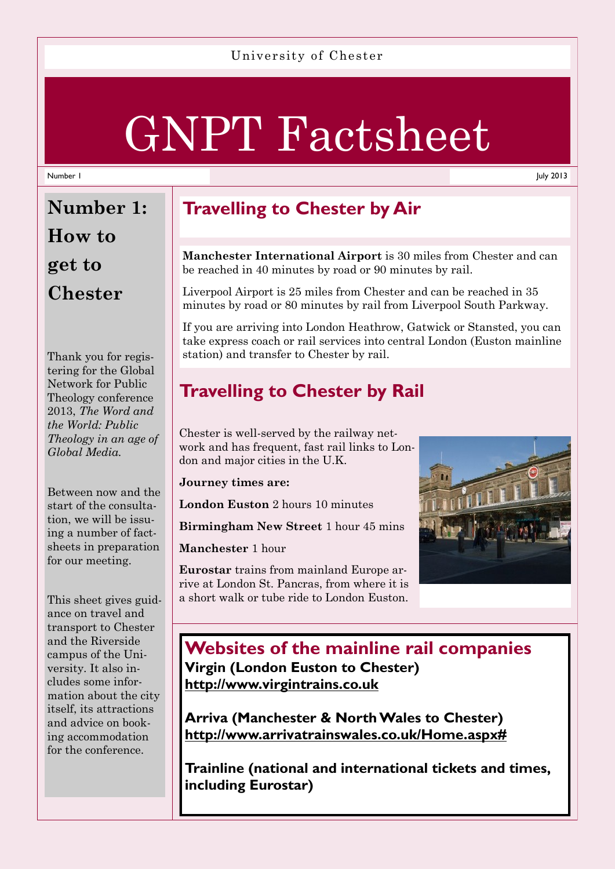#### University of Chester

# GNPT Factsheet

#### Number 1

July 2013

# **Number 1: How to get to Chester**

Thank you for registering for the Global Network for Public Theology conference 2013, *The Word and the World: Public Theology in an age of Global Media.* 

Between now and the start of the consultation, we will be issuing a number of factsheets in preparation for our meeting.

This sheet gives guidance on travel and transport to Chester and the Riverside campus of the University. It also includes some information about the city itself, its attractions and advice on booking accommodation for the conference.

# **Travelling to Chester by Air**

**Manchester International Airport** is 30 miles from Chester and can be reached in 40 minutes by road or 90 minutes by rail.

Liverpool Airport is 25 miles from Chester and can be reached in 35 minutes by road or 80 minutes by rail from Liverpool South Parkway.

If you are arriving into London Heathrow, Gatwick or Stansted, you can take express coach or rail services into central London (Euston mainline station) and transfer to Chester by rail.

# **Travelling to Chester by Rail**

Chester is well-served by the railway network and has frequent, fast rail links to London and major cities in the U.K.

**Journey times are:** 

**London Euston** 2 hours 10 minutes

**Birmingham New Street** 1 hour 45 mins

**Manchester** 1 hour

**Eurostar** trains from mainland Europe arrive at London St. Pancras, from where it is a short walk or tube ride to London Euston.



## **Websites of the mainline rail companies Virgin (London Euston to Chester) http://www.virgintrains.co.uk**

**Arriva (Manchester & North Wales to Chester) http://www.arrivatrainswales.co.uk/Home.aspx#**

**Trainline (national and international tickets and times, including Eurostar)**